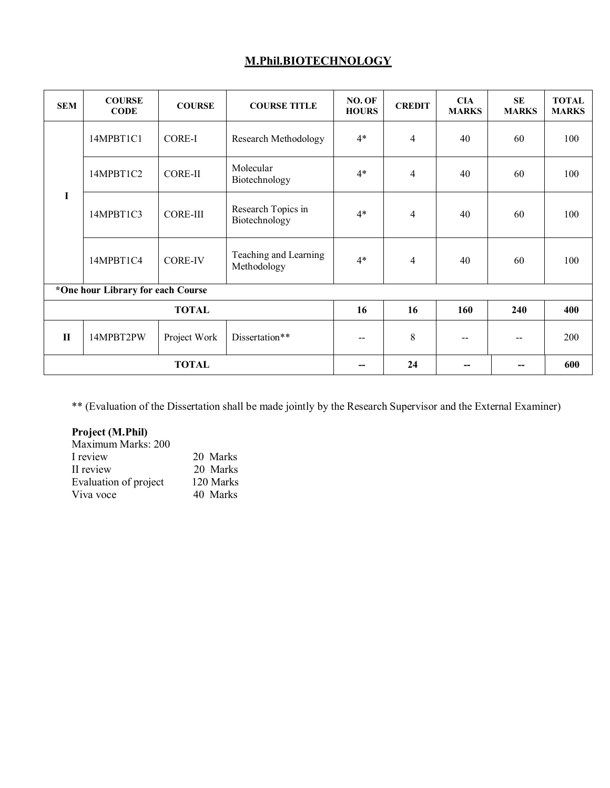# **M.Phil.BIOTECHNOLOGY**

| <b>SEM</b>                        | <b>COURSE</b><br><b>CODE</b> | <b>COURSE</b>   | <b>COURSE TITLE</b>                  | NO. OF<br><b>HOURS</b>   | <b>CREDIT</b> | <b>CIA</b><br><b>MARKS</b> | <b>SE</b><br><b>MARKS</b> | <b>TOTAL</b><br><b>MARKS</b> |  |
|-----------------------------------|------------------------------|-----------------|--------------------------------------|--------------------------|---------------|----------------------------|---------------------------|------------------------------|--|
| I                                 | 14MPBT1C1                    | CORE-I          | Research Methodology                 | $4*$                     | 4             | 40                         | 60                        | 100                          |  |
|                                   | 14MPBT1C2                    | <b>CORE-II</b>  | Molecular<br>Biotechnology           | $4*$                     | 4             | 40                         | 60                        | 100                          |  |
|                                   | 14MPBT1C3                    | <b>CORE-III</b> | Research Topics in<br>Biotechnology  | $4*$                     | 4             | 40                         | 60                        | 100                          |  |
|                                   | 14MPBT1C4                    | <b>CORE-IV</b>  | Teaching and Learning<br>Methodology | $4*$                     | 4             | 40                         | 60                        | 100                          |  |
| *One hour Library for each Course |                              |                 |                                      |                          |               |                            |                           |                              |  |
| <b>TOTAL</b>                      |                              |                 |                                      | 16                       | 16            | 160                        | 240                       | 400                          |  |
| $\mathbf{I}$                      | 14MPBT2PW                    | Project Work    | Dissertation**                       | $\overline{\phantom{m}}$ | 8             | --                         |                           | 200                          |  |
| <b>TOTAL</b>                      |                              |                 |                                      |                          | 24            |                            |                           | 600                          |  |

\*\* (Evaluation of the Dissertation shall be made jointly by the Research Supervisor and the External Examiner)

# **Project (M.Phil)**

| Maximum Marks: 200    |           |
|-----------------------|-----------|
| I review              | 20 Marks  |
| II review             | 20 Marks  |
| Evaluation of project | 120 Marks |
| Viva voce             | 40 Marks  |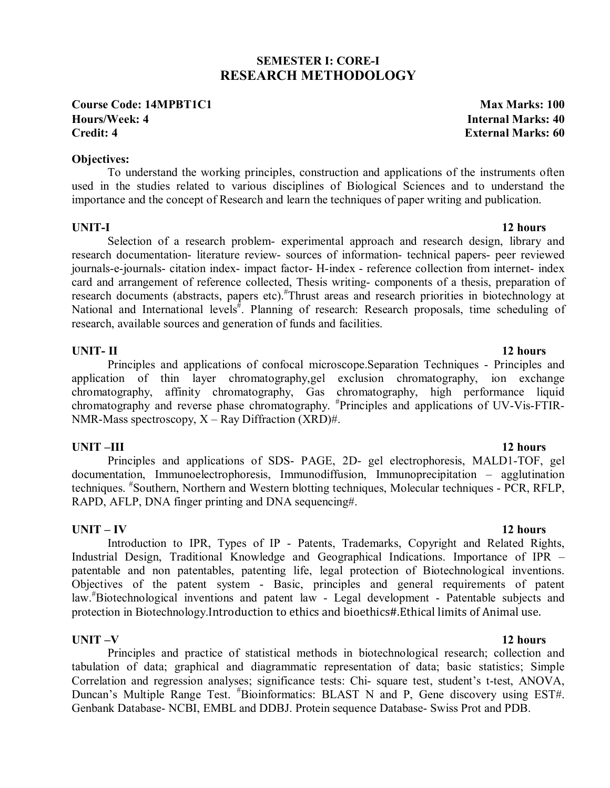# **SEMESTER I: CORE-I RESEARCH METHODOLOGY**

**Course Code: 14MPBT1C1 Max Marks: 100 Hours/Week: 4 Internal Marks: 40 Credit: 4 External Marks: 60**

### **Objectives:**

To understand the working principles, construction and applications of the instruments often used in the studies related to various disciplines of Biological Sciences and to understand the importance and the concept of Research and learn the techniques of paper writing and publication.

Selection of a research problem- experimental approach and research design, library and research documentation- literature review- sources of information- technical papers- peer reviewed journals-e-journals- citation index- impact factor- H-index - reference collection from internet- index card and arrangement of reference collected, Thesis writing- components of a thesis, preparation of research documents (abstracts, papers etc).<sup>#</sup>Thrust areas and research priorities in biotechnology at National and International levels<sup>#</sup>. Planning of research: Research proposals, time scheduling of research, available sources and generation of funds and facilities.

### **UNIT- II** 12 hours

Principles and applications of confocal microscope.Separation Techniques - Principles and application of thin layer chromatography,gel exclusion chromatography, ion exchange chromatography, affinity chromatography, Gas chromatography, high performance liquid chromatography and reverse phase chromatography. # Principles and applications of UV-Vis-FTIR-NMR-Mass spectroscopy,  $X - Ray$  Diffraction  $(XRD)$ #.

# **UNIT –III** 12 hours

Principles and applications of SDS- PAGE, 2D- gel electrophoresis, MALD1-TOF, gel documentation, Immunoelectrophoresis, Immunodiffusion, Immunoprecipitation – agglutination techniques. # Southern, Northern and Western blotting techniques, Molecular techniques - PCR, RFLP, RAPD, AFLP, DNA finger printing and DNA sequencing#.

### **UNIT – IV 12 hours**

 Introduction to IPR, Types of IP - Patents, Trademarks, Copyright and Related Rights, Industrial Design, Traditional Knowledge and Geographical Indications. Importance of IPR – patentable and non patentables, patenting life, legal protection of Biotechnological inventions. Objectives of the patent system - Basic, principles and general requirements of patent law.# Biotechnological inventions and patent law - Legal development - Patentable subjects and protection in Biotechnology.Introduction to ethics and bioethics#.Ethical limits of Animal use.

## **UNIT –V** 12 hours

 Principles and practice of statistical methods in biotechnological research; collection and tabulation of data; graphical and diagrammatic representation of data; basic statistics; Simple Correlation and regression analyses; significance tests: Chi- square test, student's t-test, ANOVA, Duncan's Multiple Range Test. # Bioinformatics: BLAST N and P, Gene discovery using EST#. Genbank Database- NCBI, EMBL and DDBJ. Protein sequence Database- Swiss Prot and PDB.

### **UNIT-I** 12 hours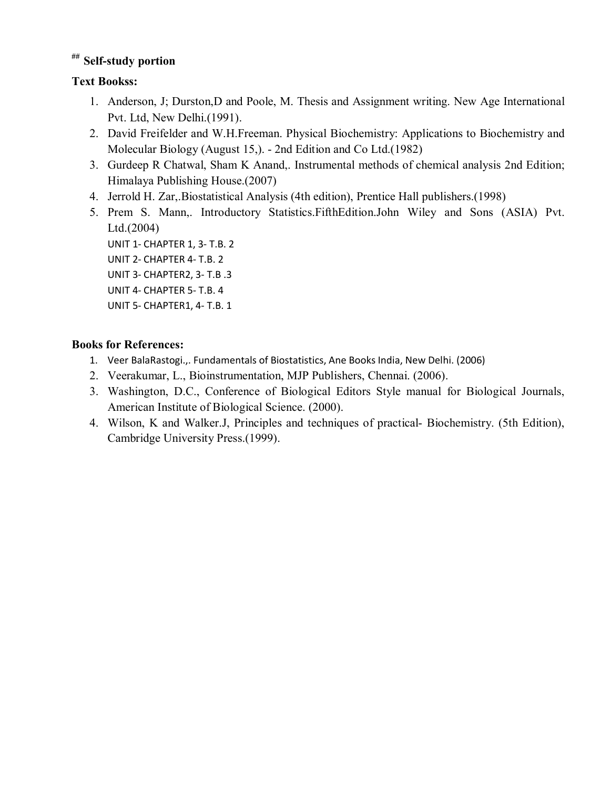# **## Self-study portion**

# **Text Bookss:**

- 1. Anderson, J; Durston,D and Poole, M. Thesis and Assignment writing. New Age International Pvt. Ltd, New Delhi.(1991).
- 2. David Freifelder and W.H.Freeman. Physical Biochemistry: Applications to Biochemistry and Molecular Biology (August 15,). - 2nd Edition and Co Ltd.(1982)
- 3. Gurdeep R Chatwal, Sham K Anand,. Instrumental methods of chemical analysis 2nd Edition; Himalaya Publishing House.(2007)
- 4. Jerrold H. Zar,.Biostatistical Analysis (4th edition), Prentice Hall publishers.(1998)
- 5. Prem S. Mann,. Introductory Statistics.FifthEdition.John Wiley and Sons (ASIA) Pvt. Ltd.(2004)

UNIT 1- CHAPTER 1, 3- T.B. 2 UNIT 2- CHAPTER 4- T.B. 2 UNIT 3- CHAPTER2, 3- T.B .3 UNIT 4- CHAPTER 5- T.B. 4 UNIT 5- CHAPTER1, 4- T.B. 1

# **Books for References:**

- 1. Veer BalaRastogi.,. Fundamentals of Biostatistics, Ane Books India, New Delhi. (2006)
- 2. Veerakumar, L., Bioinstrumentation, MJP Publishers, Chennai. (2006).
- 3. Washington, D.C., Conference of Biological Editors Style manual for Biological Journals, American Institute of Biological Science. (2000).
- 4. Wilson, K and Walker.J, Principles and techniques of practical- Biochemistry. (5th Edition), Cambridge University Press.(1999).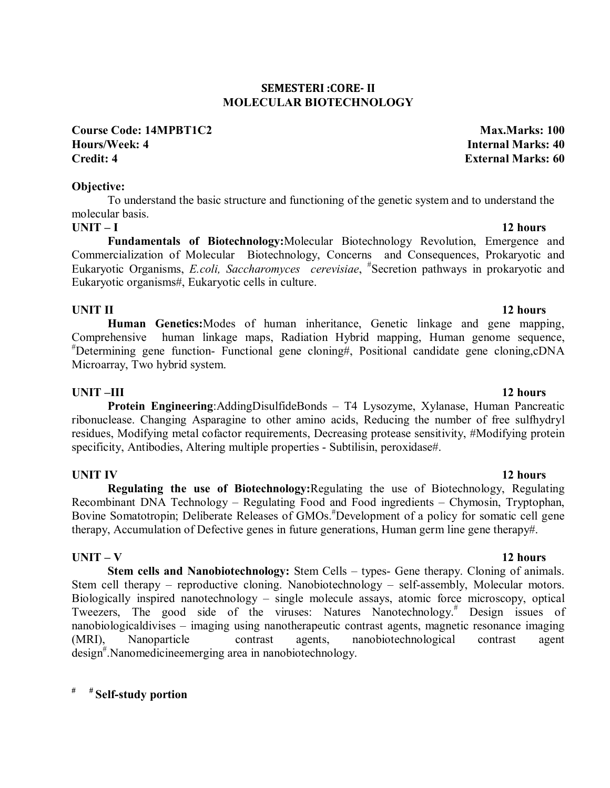# **SEMESTERI :CORE- II MOLECULAR BIOTECHNOLOGY**

**Course Code: 14MPBT1C2 Max.Marks: 100 Hours/Week: 4 Internal Marks: 40 Credit: 4 External Marks: 60**

**Objective:** 

To understand the basic structure and functioning of the genetic system and to understand the molecular basis.

**UNIT – I** 12 hours

**Fundamentals of Biotechnology:**Molecular Biotechnology Revolution, Emergence and Commercialization of Molecular Biotechnology, Concerns and Consequences, Prokaryotic and Eukaryotic Organisms, *E.coli, Saccharomyces cerevisiae*, # Secretion pathways in prokaryotic and Eukaryotic organisms#, Eukaryotic cells in culture.

## **UNIT II** 12 hours

**Human Genetics:**Modes of human inheritance, Genetic linkage and gene mapping, Comprehensive human linkage maps, Radiation Hybrid mapping, Human genome sequence, # Determining gene function- Functional gene cloning#, Positional candidate gene cloning,cDNA Microarray, Two hybrid system.

# **UNIT –III** 12 hours

**Protein Engineering**:AddingDisulfideBonds – T4 Lysozyme, Xylanase, Human Pancreatic ribonuclease. Changing Asparagine to other amino acids, Reducing the number of free sulfhydryl residues, Modifying metal cofactor requirements, Decreasing protease sensitivity, #Modifying protein specificity, Antibodies, Altering multiple properties - Subtilisin, peroxidase#.

# **UNIT IV** 12 hours

**Regulating the use of Biotechnology:**Regulating the use of Biotechnology, Regulating Recombinant DNA Technology – Regulating Food and Food ingredients – Chymosin, Tryptophan, Bovine Somatotropin; Deliberate Releases of GMOs.<sup>#</sup>Development of a policy for somatic cell gene therapy, Accumulation of Defective genes in future generations, Human germ line gene therapy#.

# $UNIT - V$  12 hours

 **Stem cells and Nanobiotechnology:** Stem Cells – types- Gene therapy. Cloning of animals. Stem cell therapy – reproductive cloning. Nanobiotechnology – self-assembly, Molecular motors. Biologically inspired nanotechnology – single molecule assays, atomic force microscopy, optical Tweezers, The good side of the viruses: Natures Nanotechnology.# Design issues of nanobiologicaldivises – imaging using nanotherapeutic contrast agents, magnetic resonance imaging (MRI), Nanoparticle contrast agents, nanobiotechnological contrast agent design# .Nanomedicineemerging area in nanobiotechnology.

**# # Self-study portion**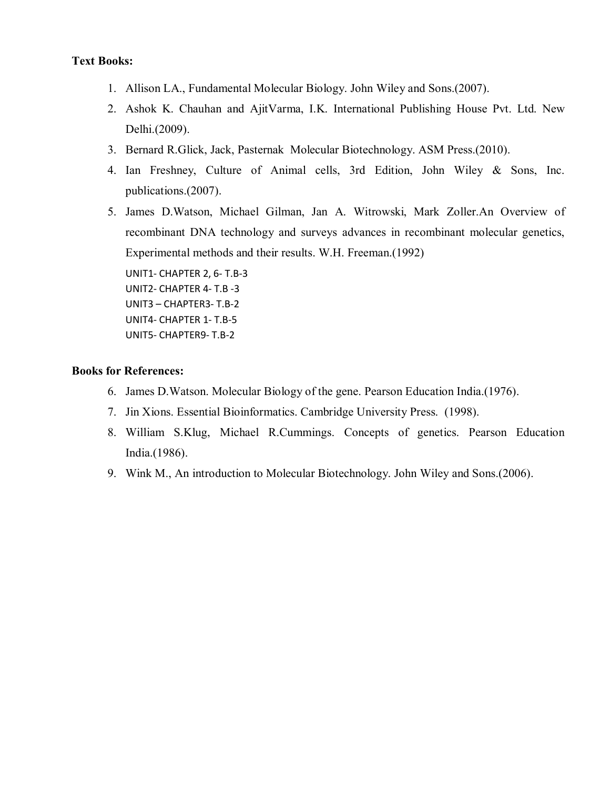# **Text Books:**

- 1. Allison LA., Fundamental Molecular Biology. John Wiley and Sons.(2007).
- 2. Ashok K. Chauhan and AjitVarma, I.K. International Publishing House Pvt. Ltd. New Delhi.(2009).
- 3. Bernard R.Glick, Jack, Pasternak Molecular Biotechnology. ASM Press.(2010).
- 4. Ian Freshney, Culture of Animal cells, 3rd Edition, John Wiley & Sons, Inc. publications.(2007).
- 5. James D.Watson, Michael Gilman, Jan A. Witrowski, Mark Zoller.An Overview of recombinant DNA technology and surveys advances in recombinant molecular genetics, Experimental methods and their results. W.H. Freeman.(1992)

UNIT1- CHAPTER 2, 6- T.B-3 UNIT2- CHAPTER 4- T.B -3 UNIT3 – CHAPTER3- T.B-2 UNIT4- CHAPTER 1- T.B-5 UNIT5- CHAPTER9- T.B-2

## **Books for References:**

- 6. James D.Watson. Molecular Biology of the gene. Pearson Education India.(1976).
- 7. Jin Xions. Essential Bioinformatics. Cambridge University Press. (1998).
- 8. William S.Klug, Michael R.Cummings. Concepts of genetics. Pearson Education India.(1986).
- 9. Wink M., An introduction to Molecular Biotechnology. John Wiley and Sons.(2006).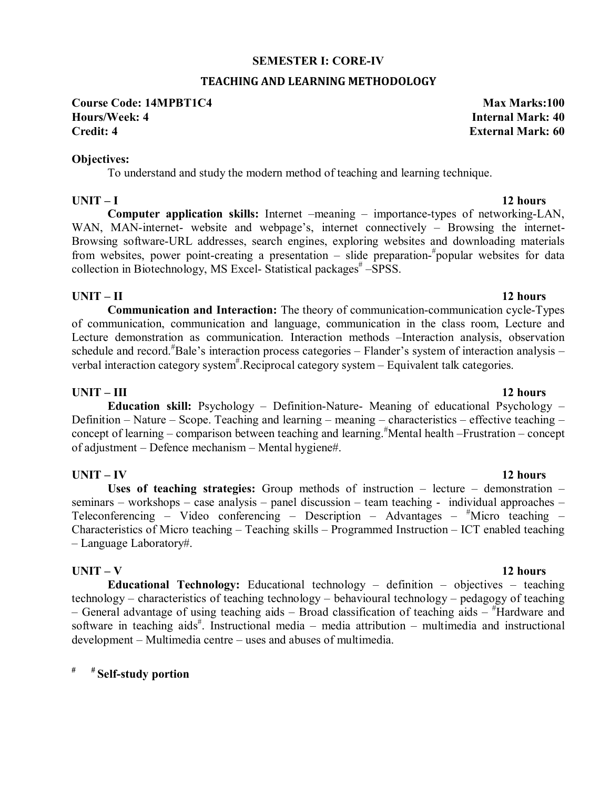### **SEMESTER I: CORE-IV**

### **TEACHING AND LEARNING METHODOLOGY**

**Course Code: 14MPBT1C4 Max Marks:100 Hours/Week: 4 Internal Mark: 40 Credit: 4** External Mark: 60

### **Objectives:**

To understand and study the modern method of teaching and learning technique.

### **UNIT – I** 12 hours

**Computer application skills:** Internet –meaning – importance-types of networking-LAN, WAN, MAN-internet- website and webpage's, internet connectively – Browsing the internet-Browsing software-URL addresses, search engines, exploring websites and downloading materials from websites, power point-creating a presentation - slide preparation-#popular websites for data collection in Biotechnology, MS Excel- Statistical packages<sup>#</sup>-SPSS.

### **UNIT – II** 12 hours

**Communication and Interaction:** The theory of communication-communication cycle-Types of communication, communication and language, communication in the class room, Lecture and Lecture demonstration as communication. Interaction methods –Interaction analysis, observation schedule and record.<sup>#</sup>Bale's interaction process categories – Flander's system of interaction analysis – verbal interaction category system<sup>#</sup>.Reciprocal category system  $-$  Equivalent talk categories.

### **UNIT – III** 12 hours

**Education skill:** Psychology – Definition-Nature- Meaning of educational Psychology – Definition – Nature – Scope. Teaching and learning – meaning – characteristics – effective teaching – concept of learning – comparison between teaching and learning.# Mental health –Frustration – concept of adjustment – Defence mechanism – Mental hygiene#.

## **UNIT – IV 12 hours**

**Uses of teaching strategies:** Group methods of instruction – lecture – demonstration – seminars – workshops – case analysis – panel discussion – team teaching - individual approaches – Teleconferencing – Video conferencing – Description – Advantages – # Micro teaching – Characteristics of Micro teaching – Teaching skills – Programmed Instruction – ICT enabled teaching – Language Laboratory#.

### $UNIT - V$  12 hours

**Educational Technology:** Educational technology – definition – objectives – teaching technology – characteristics of teaching technology – behavioural technology – pedagogy of teaching – General advantage of using teaching aids – Broad classification of teaching aids – "Hardware and software in teaching aids<sup>#</sup>. Instructional media – media attribution – multimedia and instructional development – Multimedia centre – uses and abuses of multimedia.

# **# # Self-study portion**